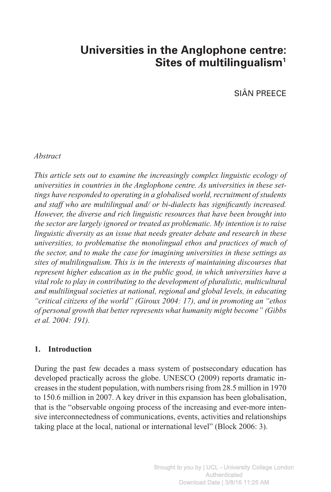# **Universities in the Anglophone centre:** Sites of multilingualism<sup>1</sup>

SIÂN PREECE

#### *Abstract*

*This article sets out to examine the increasingly complex linguistic ecology of universities in countries in the Anglophone centre. As universities in these settings have responded to operating in a globalised world, recruitment of students and staff who are multilingual and/ or bi-dialects has significantly increased. However, the diverse and rich linguistic resources that have been brought into the sector are largely ignored or treated as problematic. My intention is to raise linguistic diversity as an issue that needs greater debate and research in these universities, to problematise the monolingual ethos and practices of much of the sector, and to make the case for imagining universities in these settings as sites of multilingualism. This is in the interests of maintaining discourses that represent higher education as in the public good, in which universities have a vital role to play in contributing to the development of pluralistic, multicultural and multilingual societies at national, regional and global levels, in educating "critical citizens of the world" (Giroux 2004: 17), and in promoting an "ethos of personal growth that better represents what humanity might become" (Gibbs et al. 2004: 191).*

## **1. Introduction**

During the past few decades a mass system of postsecondary education has developed practically across the globe. UNESCO (2009) reports dramatic increases in the student population, with numbers rising from 28.5 million in 1970 to 150.6 million in 2007. A key driver in this expansion has been globalisation, that is the "observable ongoing process of the increasing and ever-more intensive interconnectedness of communications, events, activities and relationships taking place at the local, national or international level" (Block 2006: 3).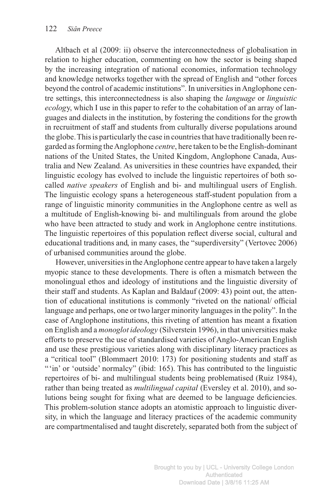Altbach et al (2009: ii) observe the interconnectedness of globalisation in relation to higher education, commenting on how the sector is being shaped by the increasing integration of national economies, information technology and knowledge networks together with the spread of English and "other forces beyond the control of academic institutions". In universities in Anglophone centre settings, this interconnectedness is also shaping the *language* or *linguistic ecolog*y, which I use in this paper to refer to the cohabitation of an array of languages and dialects in the institution, by fostering the conditions for the growth in recruitment of staff and students from culturally diverse populations around the globe.This is particularly the case in countries that have traditionally been regarded as forming theAnglophone *centre*, here taken to be the English-dominant nations of the United States, the United Kingdom, Anglophone Canada, Australia and New Zealand. As universities in these countries have expanded, their linguistic ecology has evolved to include the linguistic repertoires of both socalled *native speakers* of English and bi- and multilingual users of English. The linguistic ecology spans a heterogeneous staff-student population from a range of linguistic minority communities in the Anglophone centre as well as a multitude of English-knowing bi- and multilinguals from around the globe who have been attracted to study and work in Anglophone centre institutions. The linguistic repertoires of this population reflect diverse social, cultural and educational traditions and, in many cases, the "superdiversity" (Vertovec 2006) of urbanised communities around the globe.

However, universities in the Anglophone centre appear to have taken a largely myopic stance to these developments. There is often a mismatch between the monolingual ethos and ideology of institutions and the linguistic diversity of their staff and students. As Kaplan and Baldauf (2009: 43) point out, the attention of educational institutions is commonly "riveted on the national/ official language and perhaps, one or two larger minority languages in the polity". In the case of Anglophone institutions, this riveting of attention has meant a fixation on English and a *monoglot ideology* (Silverstein 1996), in that universities make efforts to preserve the use of standardised varieties of Anglo-American English and use these prestigious varieties along with disciplinary literacy practices as a "critical tool" (Blommaert 2010: 173) for positioning students and staff as "" in' or 'outside' normalcy" (ibid: 165). This has contributed to the linguistic repertoires of bi- and multilingual students being problematised (Ruiz 1984), rather than being treated as *multilingual capital* (Eversley et al. 2010), and solutions being sought for fixing what are deemed to be language deficiencies. This problem-solution stance adopts an atomistic approach to linguistic diversity, in which the language and literacy practices of the academic community are compartmentalised and taught discretely, separated both from the subject of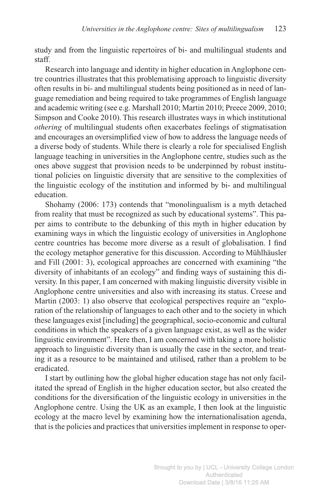study and from the linguistic repertoires of bi- and multilingual students and staff.

Research into language and identity in higher education in Anglophone centre countries illustrates that this problematising approach to linguistic diversity often results in bi- and multilingual students being positioned as in need of language remediation and being required to take programmes of English language and academic writing (see e.g. Marshall 2010; Martin 2010; Preece 2009, 2010; Simpson and Cooke 2010). This research illustrates ways in which institutional *othering* of multilingual students often exacerbates feelings of stigmatisation and encourages an oversimplified view of how to address the language needs of a diverse body of students. While there is clearly a role for specialised English language teaching in universities in the Anglophone centre, studies such as the ones above suggest that provision needs to be underpinned by robust institutional policies on linguistic diversity that are sensitive to the complexities of the linguistic ecology of the institution and informed by bi- and multilingual education.

Shohamy (2006: 173) contends that "monolingualism is a myth detached from reality that must be recognized as such by educational systems". This paper aims to contribute to the debunking of this myth in higher education by examining ways in which the linguistic ecology of universities in Anglophone centre countries has become more diverse as a result of globalisation. I find the ecology metaphor generative for this discussion. According to Mühlhäusler and Fill (2001: 3), ecological approaches are concerned with examining "the diversity of inhabitants of an ecology" and finding ways of sustaining this diversity. In this paper, I am concerned with making linguistic diversity visible in Anglophone centre universities and also with increasing its status. Creese and Martin (2003: 1) also observe that ecological perspectives require an "exploration of the relationship of languages to each other and to the society in which these languages exist [including] the geographical, socio-economic and cultural conditions in which the speakers of a given language exist, as well as the wider linguistic environment". Here then, I am concerned with taking a more holistic approach to linguistic diversity than is usually the case in the sector, and treating it as a resource to be maintained and utilised, rather than a problem to be eradicated.

I start by outlining how the global higher education stage has not only facilitated the spread of English in the higher education sector, but also created the conditions for the diversification of the linguistic ecology in universities in the Anglophone centre. Using the UK as an example, I then look at the linguistic ecology at the macro level by examining how the internationalisation agenda, that is the policies and practices that universities implement in response to oper-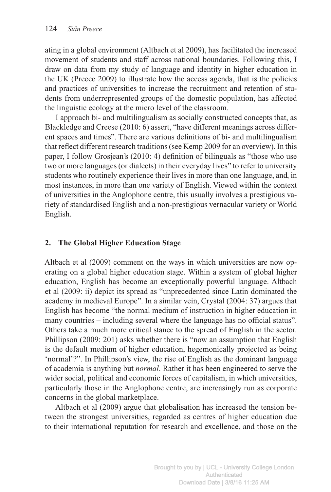ating in a global environment (Altbach et al 2009), has facilitated the increased movement of students and staff across national boundaries. Following this, I draw on data from my study of language and identity in higher education in the UK (Preece 2009) to illustrate how the access agenda, that is the policies and practices of universities to increase the recruitment and retention of students from underrepresented groups of the domestic population, has affected the linguistic ecology at the micro level of the classroom.

I approach bi- and multilingualism as socially constructed concepts that, as Blackledge and Creese (2010: 6) assert, "have different meanings across different spaces and times". There are various definitions of bi- and multilingualism that reflect different research traditions (see Kemp 2009 for an overview). In this paper, I follow Grosjean's (2010: 4) definition of bilinguals as "those who use two or more languages (or dialects) in their everyday lives" to refer to university students who routinely experience their lives in more than one language, and, in most instances, in more than one variety of English. Viewed within the context of universities in the Anglophone centre, this usually involves a prestigious variety of standardised English and a non-prestigious vernacular variety or World English.

## **2. The Global Higher Education Stage**

Altbach et al (2009) comment on the ways in which universities are now operating on a global higher education stage. Within a system of global higher education, English has become an exceptionally powerful language. Altbach et al (2009: ii) depict its spread as "unprecedented since Latin dominated the academy in medieval Europe". In a similar vein, Crystal (2004: 37) argues that English has become "the normal medium of instruction in higher education in many countries – including several where the language has no official status". Others take a much more critical stance to the spread of English in the sector. Phillipson (2009: 201) asks whether there is "now an assumption that English is the default medium of higher education, hegemonically projected as being 'normal'?". In Phillipson's view, the rise of English as the dominant language of academia is anything but *normal*. Rather it has been engineered to serve the wider social, political and economic forces of capitalism, in which universities, particularly those in the Anglophone centre, are increasingly run as corporate concerns in the global marketplace.

Altbach et al (2009) argue that globalisation has increased the tension between the strongest universities, regarded as centres of higher education due to their international reputation for research and excellence, and those on the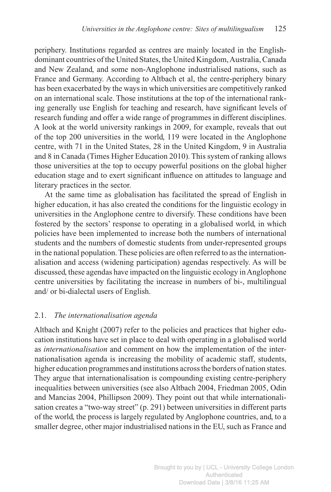periphery. Institutions regarded as centres are mainly located in the Englishdominant countries of the United States, the United Kingdom, Australia, Canada and New Zealand, and some non-Anglophone industrialised nations, such as France and Germany. According to Altbach et al, the centre-periphery binary has been exacerbated by the ways in which universities are competitively ranked on an international scale. Those institutions at the top of the international ranking generally use English for teaching and research, have significant levels of research funding and offer a wide range of programmes in different disciplines. A look at the world university rankings in 2009, for example, reveals that out of the top 200 universities in the world, 119 were located in the Anglophone centre, with 71 in the United States, 28 in the United Kingdom, 9 in Australia and 8 in Canada (Times Higher Education 2010). This system of ranking allows those universities at the top to occupy powerful positions on the global higher education stage and to exert significant influence on attitudes to language and literary practices in the sector.

At the same time as globalisation has facilitated the spread of English in higher education, it has also created the conditions for the linguistic ecology in universities in the Anglophone centre to diversify. These conditions have been fostered by the sectors' response to operating in a globalised world, in which policies have been implemented to increase both the numbers of international students and the numbers of domestic students from under-represented groups in the national population. These policies are often referred to as the internationalisation and access (widening participation) agendas respectively. As will be discussed, these agendas have impacted on the linguistic ecology in Anglophone centre universities by facilitating the increase in numbers of bi-, multilingual and/ or bi-dialectal users of English.

## 2.1. *The internationalisation agenda*

Altbach and Knight (2007) refer to the policies and practices that higher education institutions have set in place to deal with operating in a globalised world as *internationalisation* and comment on how the implementation of the internationalisation agenda is increasing the mobility of academic staff, students, higher education programmes and institutions across the borders of nation states. They argue that internationalisation is compounding existing centre-periphery inequalities between universities (see also Altbach 2004, Friedman 2005, Odin and Mancias 2004, Phillipson 2009). They point out that while internationalisation creates a "two-way street" (p. 291) between universities in different parts of the world, the process is largely regulated by Anglophone countries, and, to a smaller degree, other major industrialised nations in the EU, such as France and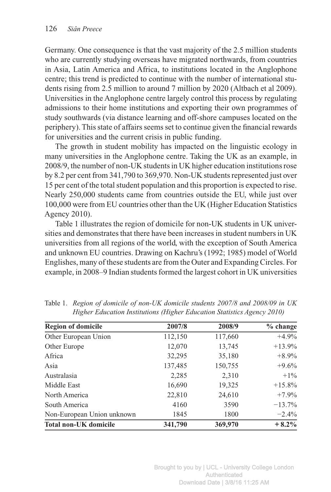Germany. One consequence is that the vast majority of the 2.5 million students who are currently studying overseas have migrated northwards, from countries in Asia, Latin America and Africa, to institutions located in the Anglophone centre; this trend is predicted to continue with the number of international students rising from 2.5 million to around 7 million by 2020 (Altbach et al 2009). Universities in the Anglophone centre largely control this process by regulating admissions to their home institutions and exporting their own programmes of study southwards (via distance learning and off-shore campuses located on the periphery). This state of affairs seems set to continue given the financial rewards for universities and the current crisis in public funding.

The growth in student mobility has impacted on the linguistic ecology in many universities in the Anglophone centre. Taking the UK as an example, in 2008/9, the number of non-UK students in UK higher education institutions rose by 8.2 per cent from 341,790 to 369,970. Non-UK students represented just over 15 per cent of the total student population and this proportion is expected to rise. Nearly 250,000 students came from countries outside the EU, while just over 100,000 were from EU countries other than the UK (Higher Education Statistics Agency 2010).

Table 1 illustrates the region of domicile for non-UK students in UK universities and demonstrates that there have been increases in student numbers in UK universities from all regions of the world, with the exception of South America and unknown EU countries. Drawing on Kachru's (1992; 1985) model of World Englishes, many of these students are from the Outer and Expanding Circles. For example, in 2008–9 Indian students formed the largest cohort in UK universities

| <b>Region of domicile</b>    | 2007/8  | 2008/9  | $%$ change |
|------------------------------|---------|---------|------------|
| Other European Union         | 112,150 | 117,660 | $+4.9\%$   |
| Other Europe                 | 12,070  | 13,745  | $+13.9%$   |
| Africa                       | 32,295  | 35,180  | $+8.9\%$   |
| Asia                         | 137,485 | 150,755 | $+9.6\%$   |
| Australasia                  | 2,285   | 2,310   | $+1\%$     |
| Middle East                  | 16,690  | 19,325  | $+15.8\%$  |
| North America                | 22,810  | 24,610  | $+7.9\%$   |
| South America                | 4160    | 3590    | $-13.7%$   |
| Non-European Union unknown   | 1845    | 1800    | $-2.4\%$   |
| <b>Total non-UK domicile</b> | 341,790 | 369,970 | $+8.2\%$   |

Table 1. *Region of domicile of non-UK domicile students 2007/8 and 2008/09 in UK Higher Education Institutions (Higher Education Statistics Agency 2010)*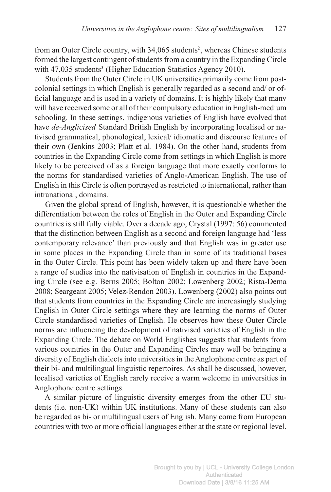from an Outer Circle country, with 34,065 students<sup>2</sup>, whereas Chinese students formed the largest contingent of students from a country in the Expanding Circle with 47,035 students<sup>3</sup> (Higher Education Statistics Agency 2010).

Students from the Outer Circle in UK universities primarily come from postcolonial settings in which English is generally regarded as a second and/ or official language and is used in a variety of domains. It is highly likely that many will have received some or all of their compulsory education in English-medium schooling. In these settings, indigenous varieties of English have evolved that have *de-Anglicised* Standard British English by incorporating localised or nativised grammatical, phonological, lexical/ idiomatic and discourse features of their own (Jenkins 2003; Platt et al. 1984). On the other hand, students from countries in the Expanding Circle come from settings in which English is more likely to be perceived of as a foreign language that more exactly conforms to the norms for standardised varieties of Anglo-American English. The use of English in this Circle is often portrayed as restricted to international, rather than intranational, domains.

Given the global spread of English, however, it is questionable whether the differentiation between the roles of English in the Outer and Expanding Circle countries is still fully viable. Over a decade ago, Crystal (1997: 56) commented that the distinction between English as a second and foreign language had 'less contemporary relevance' than previously and that English was in greater use in some places in the Expanding Circle than in some of its traditional bases in the Outer Circle. This point has been widely taken up and there have been a range of studies into the nativisation of English in countries in the Expanding Circle (see e.g. Berns 2005; Bolton 2002; Lowenberg 2002; Rista-Dema 2008; Seargeant 2005; Velez-Rendon 2003). Lowenberg (2002) also points out that students from countries in the Expanding Circle are increasingly studying English in Outer Circle settings where they are learning the norms of Outer Circle standardised varieties of English. He observes how these Outer Circle norms are influencing the development of nativised varieties of English in the Expanding Circle. The debate on World Englishes suggests that students from various countries in the Outer and Expanding Circles may well be bringing a diversity of English dialects into universities in the Anglophone centre as part of their bi- and multilingual linguistic repertoires. As shall be discussed, however, localised varieties of English rarely receive a warm welcome in universities in Anglophone centre settings.

A similar picture of linguistic diversity emerges from the other EU students (i.e. non-UK) within UK institutions. Many of these students can also be regarded as bi- or multilingual users of English. Many come from European countries with two or more official languages either at the state or regional level.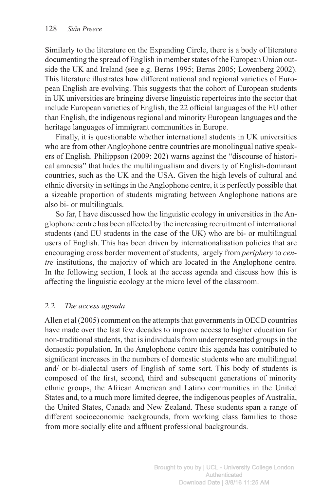Similarly to the literature on the Expanding Circle, there is a body of literature documenting the spread of English in member states of the European Union outside the UK and Ireland (see e.g. Berns 1995; Berns 2005; Lowenberg 2002). This literature illustrates how different national and regional varieties of European English are evolving. This suggests that the cohort of European students in UK universities are bringing diverse linguistic repertoires into the sector that include European varieties of English, the 22 official languages of the EU other than English, the indigenous regional and minority European languages and the heritage languages of immigrant communities in Europe.

Finally, it is questionable whether international students in UK universities who are from other Anglophone centre countries are monolingual native speakers of English. Philippson (2009: 202) warns against the "discourse of historical amnesia" that hides the multilingualism and diversity of English-dominant countries, such as the UK and the USA. Given the high levels of cultural and ethnic diversity in settings in the Anglophone centre, it is perfectly possible that a sizeable proportion of students migrating between Anglophone nations are also bi- or multilinguals.

So far, I have discussed how the linguistic ecology in universities in the Anglophone centre has been affected by the increasing recruitment of international students (and EU students in the case of the UK) who are bi- or multilingual users of English. This has been driven by internationalisation policies that are encouraging cross border movement of students, largely from *periphery* to *centre* institutions, the majority of which are located in the Anglophone centre. In the following section, I look at the access agenda and discuss how this is affecting the linguistic ecology at the micro level of the classroom.

## 2.2. *The access agenda*

Allen et al (2005) comment on the attempts that governments in OECD countries have made over the last few decades to improve access to higher education for non-traditional students, that is individuals from underrepresented groups in the domestic population. In the Anglophone centre this agenda has contributed to significant increases in the numbers of domestic students who are multilingual and/ or bi-dialectal users of English of some sort. This body of students is composed of the first, second, third and subsequent generations of minority ethnic groups, the African American and Latino communities in the United States and, to a much more limited degree, the indigenous peoples of Australia, the United States, Canada and New Zealand. These students span a range of different socioeconomic backgrounds, from working class families to those from more socially elite and affluent professional backgrounds.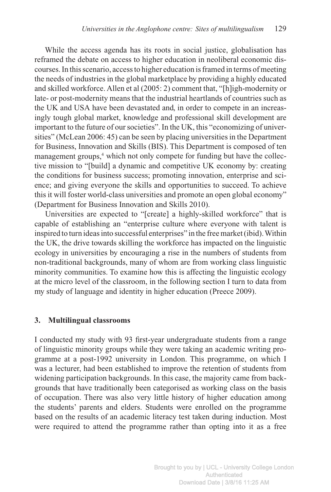While the access agenda has its roots in social justice, globalisation has reframed the debate on access to higher education in neoliberal economic discourses. In this scenario, access to higher education is framed in terms of meeting the needs of industries in the global marketplace by providing a highly educated and skilled workforce. Allen et al (2005: 2) comment that, "[h]igh-modernity or late- or post-modernity means that the industrial heartlands of countries such as the UK and USA have been devastated and, in order to compete in an increasingly tough global market, knowledge and professional skill development are important to the future of our societies". In the UK, this "economizing of universities" (McLean 2006: 45) can be seen by placing universities in the Department for Business, Innovation and Skills (BIS). This Department is composed of ten management groups,<sup>4</sup> which not only compete for funding but have the collective mission to "[build] a dynamic and competitive UK economy by: creating the conditions for business success; promoting innovation, enterprise and science; and giving everyone the skills and opportunities to succeed. To achieve this it will foster world-class universities and promote an open global economy" (Department for Business Innovation and Skills 2010).

Universities are expected to "[create] a highly-skilled workforce" that is capable of establishing an "enterprise culture where everyone with talent is inspired to turn ideas into successful enterprises" in the free market (ibid). Within the UK, the drive towards skilling the workforce has impacted on the linguistic ecology in universities by encouraging a rise in the numbers of students from non-traditional backgrounds, many of whom are from working class linguistic minority communities. To examine how this is affecting the linguistic ecology at the micro level of the classroom, in the following section I turn to data from my study of language and identity in higher education (Preece 2009).

#### **3. Multilingual classrooms**

I conducted my study with 93 first-year undergraduate students from a range of linguistic minority groups while they were taking an academic writing programme at a post-1992 university in London. This programme, on which I was a lecturer, had been established to improve the retention of students from widening participation backgrounds. In this case, the majority came from backgrounds that have traditionally been categorised as working class on the basis of occupation. There was also very little history of higher education among the students' parents and elders. Students were enrolled on the programme based on the results of an academic literacy test taken during induction. Most were required to attend the programme rather than opting into it as a free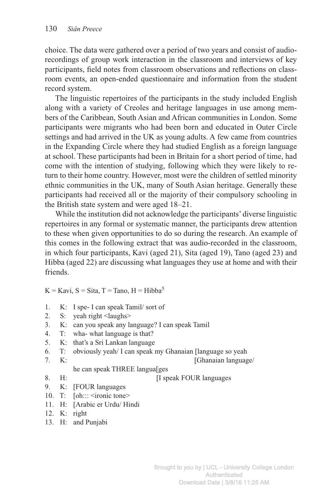choice. The data were gathered over a period of two years and consist of audiorecordings of group work interaction in the classroom and interviews of key participants, field notes from classroom observations and reflections on classroom events, an open-ended questionnaire and information from the student record system.

The linguistic repertoires of the participants in the study included English along with a variety of Creoles and heritage languages in use among members of the Caribbean, South Asian and African communities in London. Some participants were migrants who had been born and educated in Outer Circle settings and had arrived in the UK as young adults. A few came from countries in the Expanding Circle where they had studied English as a foreign language at school. These participants had been in Britain for a short period of time, had come with the intention of studying, following which they were likely to return to their home country. However, most were the children of settled minority ethnic communities in the UK, many of South Asian heritage. Generally these participants had received all or the majority of their compulsory schooling in the British state system and were aged 18–21.

While the institution did not acknowledge the participants' diverse linguistic repertoires in any formal or systematic manner, the participants drew attention to these when given opportunities to do so during the research. An example of this comes in the following extract that was audio-recorded in the classroom, in which four participants, Kavi (aged 21), Sita (aged 19), Tano (aged 23) and Hibba (aged 22) are discussing what languages they use at home and with their friends.

 $K = Kavi$ ,  $S = Sita$ ,  $T = Tano$ ,  $H = Hibba<sup>5</sup>$ 

- 1. K: I spe- I can speak Tamil/ sort of
- 2. S: yeah right <laughs>
- 3. K: can you speak any language? I can speak Tamil
- 4. T: wha- what language is that?
- 5. K: that's a Sri Lankan language
- 6. T: obviously yeah/ I can speak my Ghanaian [language so yeah
- 7. K: [Ghanaian language/
	- he can speak THREE langua[ges

8. H: [I speak FOUR languages]

- 9. K: [FOUR languages
- 10. T: [oh::: <ironic tone>
- 11. H: [Arabic er Urdu/ Hindi
- 12. K: right
- 13. H: and Punjabi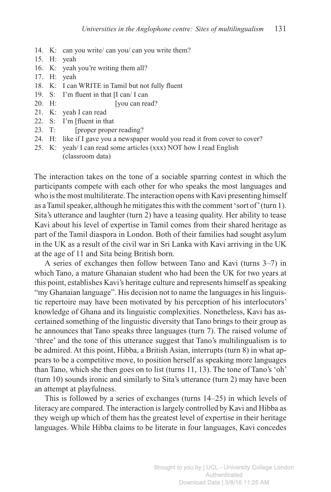- 14. K: can you write/ can you/ can you write them?
- 15. H: yeah
- 16. K: yeah you're writing them all?
- 17. H: yeah
- 18. K: I can WRITE in Tamil but not fully fluent
- 19. S: I'm fluent in that [I can/ I can
- 20. H: [you can read?
- 21. K: yeah I can read
- 22. S: I'm [fluent in that
- 23. T: [proper proper reading?
- 24. H: like if I gave you a newspaper would you read it from cover to cover?
- 25. K: yeah/ I can read some articles (xxx) NOT how I read English (classroom data)

The interaction takes on the tone of a sociable sparring contest in which the participants compete with each other for who speaks the most languages and who is the most multiliterate. The interaction opens with Kavi presenting himself as aTamil speaker, although he mitigates this with the comment 'sort of '(turn 1). Sita's utterance and laughter (turn 2) have a teasing quality. Her ability to tease Kavi about his level of expertise in Tamil comes from their shared heritage as part of the Tamil diaspora in London. Both of their families had sought asylum in the UK as a result of the civil war in Sri Lanka with Kavi arriving in the UK at the age of 11 and Sita being British born.

A series of exchanges then follow between Tano and Kavi (turns 3–7) in which Tano, a mature Ghanaian student who had been the UK for two years at this point, establishes Kavi's heritage culture and represents himself as speaking "my Ghanaian language". His decision not to name the languages in his linguistic repertoire may have been motivated by his perception of his interlocutors' knowledge of Ghana and its linguistic complexities. Nonetheless, Kavi has ascertained something of the linguistic diversity that Tano brings to their group as he announces that Tano speaks three languages (turn 7). The raised volume of 'three' and the tone of this utterance suggest that Tano's multilingualism is to be admired. At this point, Hibba, a British Asian, interrupts (turn 8) in what appears to be a competitive move, to position herself as speaking more languages than Tano, which she then goes on to list (turns 11, 13). The tone of Tano's 'oh' (turn 10) sounds ironic and similarly to Sita's utterance (turn 2) may have been an attempt at playfulness.

This is followed by a series of exchanges (turns 14–25) in which levels of literacy are compared. The interaction is largely controlled by Kavi and Hibba as they weigh up which of them has the greatest level of expertise in their heritage languages. While Hibba claims to be literate in four languages, Kavi concedes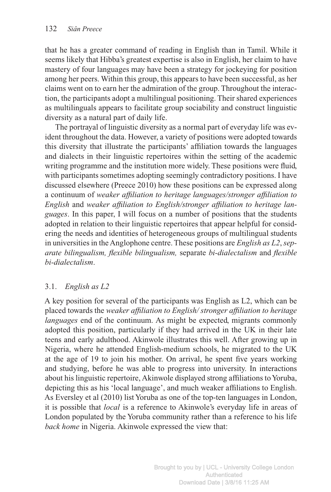that he has a greater command of reading in English than in Tamil. While it seems likely that Hibba's greatest expertise is also in English, her claim to have mastery of four languages may have been a strategy for jockeying for position among her peers. Within this group, this appears to have been successful, as her claims went on to earn her the admiration of the group. Throughout the interaction, the participants adopt a multilingual positioning. Their shared experiences as multilinguals appears to facilitate group sociability and construct linguistic diversity as a natural part of daily life.

The portrayal of linguistic diversity as a normal part of everyday life was evident throughout the data. However, a variety of positions were adopted towards this diversity that illustrate the participants' affiliation towards the languages and dialects in their linguistic repertoires within the setting of the academic writing programme and the institution more widely. These positions were fluid, with participants sometimes adopting seemingly contradictory positions. I have discussed elsewhere (Preece 2010) how these positions can be expressed along a continuum of *weaker affiliation to heritage languages/stronger affiliation to English* and *weaker affiliation to English/stronger affiliation to heritage languages*. In this paper, I will focus on a number of positions that the students adopted in relation to their linguistic repertoires that appear helpful for considering the needs and identities of heterogeneous groups of multilingual students in universities in the Anglophone centre. These positions are *English as L2*, *separate bilingualism, flexible bilingualism,* separate *bi-dialectalism* and *flexible bi-dialectalism*.

## 3.1. *English as L2*

A key position for several of the participants was English as L2, which can be placed towards the *weaker affiliation to English/ stronger affiliation to heritage languages* end of the continuum. As might be expected, migrants commonly adopted this position, particularly if they had arrived in the UK in their late teens and early adulthood. Akinwole illustrates this well. After growing up in Nigeria, where he attended English-medium schools, he migrated to the UK at the age of 19 to join his mother. On arrival, he spent five years working and studying, before he was able to progress into university. In interactions about his linguistic repertoire, Akinwole displayed strong affiliations to Yoruba, depicting this as his 'local language', and much weaker affiliations to English. As Eversley et al (2010) list Yoruba as one of the top-ten languages in London, it is possible that *local* is a reference to Akinwole's everyday life in areas of London populated by the Yoruba community rather than a reference to his life *back home* in Nigeria. Akinwole expressed the view that: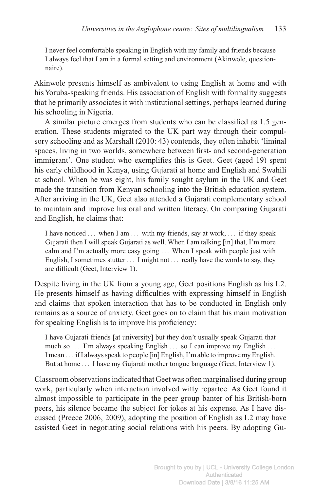I never feel comfortable speaking in English with my family and friends because I always feel that I am in a formal setting and environment (Akinwole, questionnaire).

Akinwole presents himself as ambivalent to using English at home and with hisYoruba-speaking friends. His association of English with formality suggests that he primarily associates it with institutional settings, perhaps learned during his schooling in Nigeria.

A similar picture emerges from students who can be classified as 1.5 generation. These students migrated to the UK part way through their compulsory schooling and as Marshall (2010: 43) contends, they often inhabit 'liminal spaces, living in two worlds, somewhere between first- and second-generation immigrant'. One student who exemplifies this is Geet. Geet (aged 19) spent his early childhood in Kenya, using Gujarati at home and English and Swahili at school. When he was eight, his family sought asylum in the UK and Geet made the transition from Kenyan schooling into the British education system. After arriving in the UK, Geet also attended a Gujarati complementary school to maintain and improve his oral and written literacy. On comparing Gujarati and English, he claims that:

I have noticed ... when I am ... with my friends, say at work, ... if they speak Gujarati then I will speak Gujarati as well. When I am talking [in] that, I'm more calm and I'm actually more easy going ... When I speak with people just with English, I sometimes stutter . . . I might not . . . really have the words to say, they are difficult (Geet, Interview 1).

Despite living in the UK from a young age, Geet positions English as his L2. He presents himself as having difficulties with expressing himself in English and claims that spoken interaction that has to be conducted in English only remains as a source of anxiety. Geet goes on to claim that his main motivation for speaking English is to improve his proficiency:

I have Gujarati friends [at university] but they don't usually speak Gujarati that much so ... I'm always speaking English ... so I can improve my English ... I mean . . . if I always speak to people [in] English, I'm able to improve my English. But at home ... I have my Gujarati mother tongue language (Geet, Interview 1).

Classroom observations indicated that Geet was often marginalised during group work, particularly when interaction involved witty repartee. As Geet found it almost impossible to participate in the peer group banter of his British-born peers, his silence became the subject for jokes at his expense. As I have discussed (Preece 2006, 2009), adopting the position of English as L2 may have assisted Geet in negotiating social relations with his peers. By adopting Gu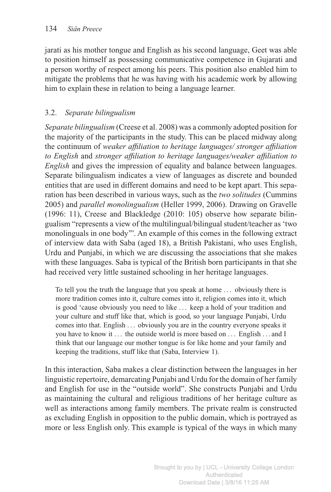jarati as his mother tongue and English as his second language, Geet was able to position himself as possessing communicative competence in Gujarati and a person worthy of respect among his peers. This position also enabled him to mitigate the problems that he was having with his academic work by allowing him to explain these in relation to being a language learner.

# 3.2. *Separate bilingualism*

*Separate bilingualism* (Creese et al. 2008) was a commonly adopted position for the majority of the participants in the study. This can be placed midway along the continuum of *weaker affiliation to heritage languages/ stronger affiliation to English* and *stronger affiliation to heritage languages/weaker affiliation to English* and gives the impression of equality and balance between languages. Separate bilingualism indicates a view of languages as discrete and bounded entities that are used in different domains and need to be kept apart. This separation has been described in various ways, such as the *two solitudes* (Cummins 2005) and *parallel monolingualism* (Heller 1999, 2006). Drawing on Gravelle (1996: 11), Creese and Blackledge (2010: 105) observe how separate bilingualism "represents a view of the multilingual/bilingual student/teacher as 'two monolinguals in one body'". An example of this comes in the following extract of interview data with Saba (aged 18), a British Pakistani, who uses English, Urdu and Punjabi, in which we are discussing the associations that she makes with these languages. Saba is typical of the British born participants in that she had received very little sustained schooling in her heritage languages.

To tell you the truth the language that you speak at home . . . obviously there is more tradition comes into it, culture comes into it, religion comes into it, which is good 'cause obviously you need to like . . . keep a hold of your tradition and your culture and stuff like that, which is good, so your language Punjabi, Urdu comes into that. English . . . obviously you are in the country everyone speaks it you have to know it ... the outside world is more based on ... English ... and I think that our language our mother tongue is for like home and your family and keeping the traditions, stuff like that (Saba, Interview 1).

In this interaction, Saba makes a clear distinction between the languages in her linguistic repertoire, demarcating Punjabi and Urdu for the domain of her family and English for use in the "outside world". She constructs Punjabi and Urdu as maintaining the cultural and religious traditions of her heritage culture as well as interactions among family members. The private realm is constructed as excluding English in opposition to the public domain, which is portrayed as more or less English only. This example is typical of the ways in which many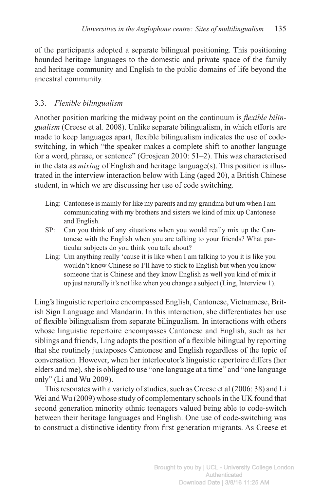of the participants adopted a separate bilingual positioning. This positioning bounded heritage languages to the domestic and private space of the family and heritage community and English to the public domains of life beyond the ancestral community.

# 3.3. *Flexible bilingualism*

Another position marking the midway point on the continuum is *flexible bilingualism* (Creese et al. 2008). Unlike separate bilingualism, in which efforts are made to keep languages apart, flexible bilingualism indicates the use of codeswitching, in which "the speaker makes a complete shift to another language for a word, phrase, or sentence" (Grosjean 2010: 51–2). This was characterised in the data as *mixing* of English and heritage language(s). This position is illustrated in the interview interaction below with Ling (aged 20), a British Chinese student, in which we are discussing her use of code switching.

- Ling: Cantonese is mainly for like my parents and my grandma but um when I am communicating with my brothers and sisters we kind of mix up Cantonese and English.
- SP: Can you think of any situations when you would really mix up the Cantonese with the English when you are talking to your friends? What particular subjects do you think you talk about?
- Ling: Um anything really 'cause it is like when I am talking to you it is like you wouldn't know Chinese so I'll have to stick to English but when you know someone that is Chinese and they know English as well you kind of mix it up just naturally it's not like when you change a subject (Ling, Interview 1).

Ling's linguistic repertoire encompassed English, Cantonese, Vietnamese, British Sign Language and Mandarin. In this interaction, she differentiates her use of flexible bilingualism from separate bilingualism. In interactions with others whose linguistic repertoire encompasses Cantonese and English, such as her siblings and friends, Ling adopts the position of a flexible bilingual by reporting that she routinely juxtaposes Cantonese and English regardless of the topic of conversation. However, when her interlocutor's linguistic repertoire differs (her elders and me), she is obliged to use "one language at a time" and "one language only" (Li and Wu 2009).

This resonates with a variety of studies, such as Creese et al (2006: 38) and Li Wei and Wu (2009) whose study of complementary schools in the UK found that second generation minority ethnic teenagers valued being able to code-switch between their heritage languages and English. One use of code-switching was to construct a distinctive identity from first generation migrants. As Creese et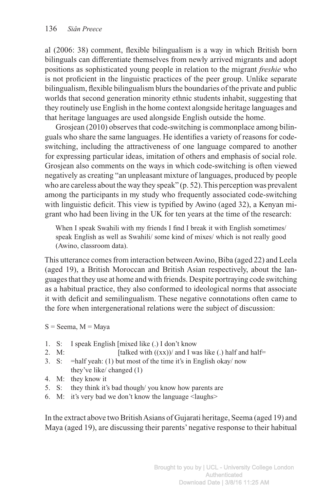al (2006: 38) comment, flexible bilingualism is a way in which British born bilinguals can differentiate themselves from newly arrived migrants and adopt positions as sophisticated young people in relation to the migrant *freshie* who is not proficient in the linguistic practices of the peer group. Unlike separate bilingualism, flexible bilingualism blurs the boundaries of the private and public worlds that second generation minority ethnic students inhabit, suggesting that they routinely use English in the home context alongside heritage languages and that heritage languages are used alongside English outside the home.

Grosjean (2010) observes that code-switching is commonplace among bilinguals who share the same languages. He identifies a variety of reasons for codeswitching, including the attractiveness of one language compared to another for expressing particular ideas, imitation of others and emphasis of social role. Grosjean also comments on the ways in which code-switching is often viewed negatively as creating "an unpleasant mixture of languages, produced by people who are careless about the way they speak" (p. 52). This perception was prevalent among the participants in my study who frequently associated code-switching with linguistic deficit. This view is typified by Awino (aged 32), a Kenyan migrant who had been living in the UK for ten years at the time of the research:

When I speak Swahili with my friends I find I break it with English sometimes/ speak English as well as Swahili/ some kind of mixes/ which is not really good (Awino, classroom data).

This utterance comes from interaction between Awino, Biba (aged 22) and Leela (aged 19), a British Moroccan and British Asian respectively, about the languages that they use at home and with friends. Despite portraying code switching as a habitual practice, they also conformed to ideological norms that associate it with deficit and semilingualism. These negative connotations often came to the fore when intergenerational relations were the subject of discussion:

 $S =$  Seema,  $M =$  Maya

- 1. S: I speak English [mixed like (.) I don't know
- 2. M: [talked with  $((xx))$  and I was like (.) half and half=
- 3. S: =half yeah: (1) but most of the time it's in English okay/ now they've like/ changed (1)
- 4. M: they know it
- 5. S: they think it's bad though/ you know how parents are
- 6. M: it's very bad we don't know the language <laughs>

In the extract above two BritishAsians of Gujarati heritage, Seema (aged 19) and Maya (aged 19), are discussing their parents' negative response to their habitual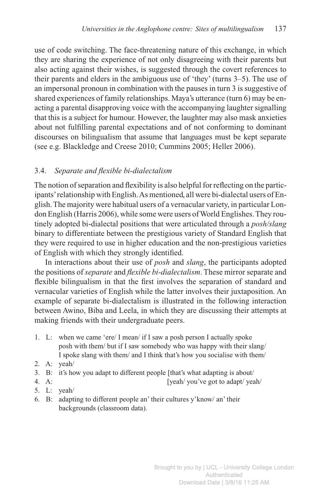use of code switching. The face-threatening nature of this exchange, in which they are sharing the experience of not only disagreeing with their parents but also acting against their wishes, is suggested through the covert references to their parents and elders in the ambiguous use of 'they' (turns 3–5). The use of an impersonal pronoun in combination with the pauses in turn 3 is suggestive of shared experiences of family relationships. Maya's utterance (turn 6) may be enacting a parental disapproving voice with the accompanying laughter signalling that this is a subject for humour. However, the laughter may also mask anxieties about not fulfilling parental expectations and of not conforming to dominant discourses on bilingualism that assume that languages must be kept separate (see e.g. Blackledge and Creese 2010; Cummins 2005; Heller 2006).

## 3.4. *Separate and flexible bi-dialectalism*

The notion of separation and flexibility is also helpful for reflecting on the participants'relationship with English.As mentioned, all were bi-dialectal users of English. The majority were habitual users of a vernacular variety, in particular London English (Harris 2006), while some were users ofWorld Englishes.They routinely adopted bi-dialectal positions that were articulated through a *posh/slang* binary to differentiate between the prestigious variety of Standard English that they were required to use in higher education and the non-prestigious varieties of English with which they strongly identified.

In interactions about their use of *posh* and *slang*, the participants adopted the positions of *separate* and *flexible bi-dialectalism*. These mirror separate and flexible bilingualism in that the first involves the separation of standard and vernacular varieties of English while the latter involves their juxtaposition. An example of separate bi-dialectalism is illustrated in the following interaction between Awino, Biba and Leela, in which they are discussing their attempts at making friends with their undergraduate peers.

- 1. L: when we came 'ere/ I mean/ if I saw a posh person I actually spoke posh with them/ but if I saw somebody who was happy with their slang/ I spoke slang with them/ and I think that's how you socialise with them/
- 2. A: yeah/
- 3. B: it's how you adapt to different people [that's what adapting is about/
- 
- 4. A: [yeah/ you've got to adapt/ yeah/
- 5. L: yeah/
- 6. B: adapting to different people an' their cultures y'know/ an' their backgrounds (classroom data).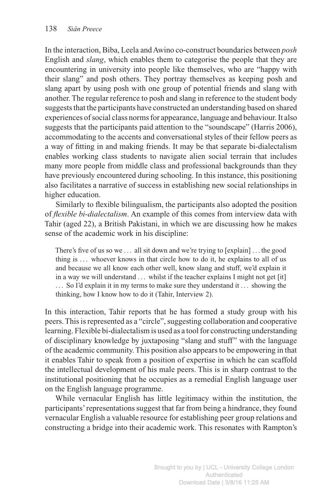In the interaction, Biba, Leela and Awino co-construct boundaries between *posh* English and *slang*, which enables them to categorise the people that they are encountering in university into people like themselves, who are "happy with their slang" and posh others. They portray themselves as keeping posh and slang apart by using posh with one group of potential friends and slang with another. The regular reference to posh and slang in reference to the student body suggests that the participants have constructed an understanding based on shared experiences of social class norms for appearance, language and behaviour. It also suggests that the participants paid attention to the "soundscape" (Harris 2006), accommodating to the accents and conversational styles of their fellow peers as a way of fitting in and making friends. It may be that separate bi-dialectalism enables working class students to navigate alien social terrain that includes many more people from middle class and professional backgrounds than they have previously encountered during schooling. In this instance, this positioning also facilitates a narrative of success in establishing new social relationships in higher education.

Similarly to flexible bilingualism, the participants also adopted the position of *flexible bi-dialectalism*. An example of this comes from interview data with Tahir (aged 22), a British Pakistani, in which we are discussing how he makes sense of the academic work in his discipline:

There's five of us so we ... all sit down and we're trying to [explain] ... the good thing is ... whoever knows in that circle how to do it, he explains to all of us and because we all know each other well, know slang and stuff, we'd explain it in a way we will understand . . . whilst if the teacher explains I might not get [it] . . . So I'd explain it in my terms to make sure they understand it . . . showing the thinking, how I know how to do it (Tahir, Interview 2).

In this interaction, Tahir reports that he has formed a study group with his peers. This is represented as a "circle", suggesting collaboration and cooperative learning. Flexible bi-dialectalism is used as a tool for constructing understanding of disciplinary knowledge by juxtaposing "slang and stuff" with the language of the academic community. This position also appears to be empowering in that it enables Tahir to speak from a position of expertise in which he can scaffold the intellectual development of his male peers. This is in sharp contrast to the institutional positioning that he occupies as a remedial English language user on the English language programme.

While vernacular English has little legitimacy within the institution, the participants' representations suggest that far from being a hindrance, they found vernacular English a valuable resource for establishing peer group relations and constructing a bridge into their academic work. This resonates with Rampton's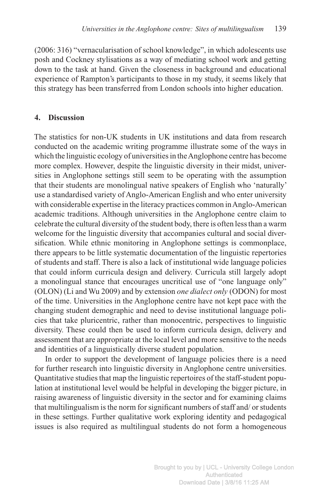(2006: 316) "vernacularisation of school knowledge", in which adolescents use posh and Cockney stylisations as a way of mediating school work and getting down to the task at hand. Given the closeness in background and educational experience of Rampton's participants to those in my study, it seems likely that this strategy has been transferred from London schools into higher education.

#### **4. Discussion**

The statistics for non-UK students in UK institutions and data from research conducted on the academic writing programme illustrate some of the ways in which the linguistic ecology of universities in the Anglophone centre has become more complex. However, despite the linguistic diversity in their midst, universities in Anglophone settings still seem to be operating with the assumption that their students are monolingual native speakers of English who 'naturally' use a standardised variety of Anglo-American English and who enter university with considerable expertise in the literacy practices common in Anglo-American academic traditions. Although universities in the Anglophone centre claim to celebrate the cultural diversity of the student body, there is often less than a warm welcome for the linguistic diversity that accompanies cultural and social diversification. While ethnic monitoring in Anglophone settings is commonplace, there appears to be little systematic documentation of the linguistic repertories of students and staff. There is also a lack of institutional wide language policies that could inform curricula design and delivery. Curricula still largely adopt a monolingual stance that encourages uncritical use of "one language only" (OLON) (Li and Wu 2009) and by extension *one dialect only* (ODON) for most of the time. Universities in the Anglophone centre have not kept pace with the changing student demographic and need to devise institutional language policies that take pluricentric, rather than monocentric, perspectives to linguistic diversity. These could then be used to inform curricula design, delivery and assessment that are appropriate at the local level and more sensitive to the needs and identities of a linguistically diverse student population.

In order to support the development of language policies there is a need for further research into linguistic diversity in Anglophone centre universities. Quantitative studies that map the linguistic repertoires of the staff-student population at institutional level would be helpful in developing the bigger picture, in raising awareness of linguistic diversity in the sector and for examining claims that multilingualism is the norm for significant numbers of staff and/ or students in these settings. Further qualitative work exploring identity and pedagogical issues is also required as multilingual students do not form a homogeneous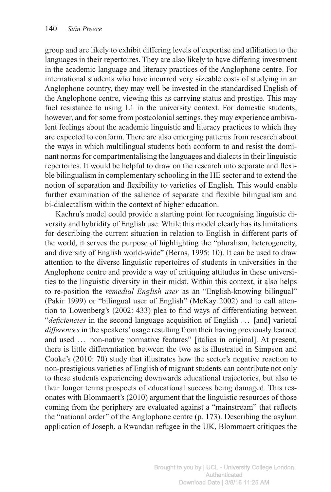group and are likely to exhibit differing levels of expertise and affiliation to the languages in their repertoires. They are also likely to have differing investment in the academic language and literacy practices of the Anglophone centre. For international students who have incurred very sizeable costs of studying in an Anglophone country, they may well be invested in the standardised English of the Anglophone centre, viewing this as carrying status and prestige. This may fuel resistance to using L1 in the university context. For domestic students, however, and for some from postcolonial settings, they may experience ambivalent feelings about the academic linguistic and literacy practices to which they are expected to conform. There are also emerging patterns from research about the ways in which multilingual students both conform to and resist the dominant norms for compartmentalising the languages and dialects in their linguistic repertoires. It would be helpful to draw on the research into separate and flexible bilingualism in complementary schooling in the HE sector and to extend the notion of separation and flexibility to varieties of English. This would enable further examination of the salience of separate and flexible bilingualism and bi-dialectalism within the context of higher education.

Kachru's model could provide a starting point for recognising linguistic diversity and hybridity of English use. While this model clearly has its limitations for describing the current situation in relation to English in different parts of the world, it serves the purpose of highlighting the "pluralism, heterogeneity, and diversity of English world-wide" (Berns, 1995: 10). It can be used to draw attention to the diverse linguistic repertoires of students in universities in the Anglophone centre and provide a way of critiquing attitudes in these universities to the linguistic diversity in their midst. Within this context, it also helps to re-position the *remedial English user* as an "English-knowing bilingual" (Pakir 1999) or "bilingual user of English" (McKay 2002) and to call attention to Lowenberg's (2002: 433) plea to find ways of differentiating between *deficiencies* in the second language acquisition of English ... [and] varietal *differences* in the speakers' usage resulting from their having previously learned and used ... non-native normative features" [italics in original]. At present, there is little differentiation between the two as is illustrated in Simpson and Cooke's (2010: 70) study that illustrates how the sector's negative reaction to non-prestigious varieties of English of migrant students can contribute not only to these students experiencing downwards educational trajectories, but also to their longer terms prospects of educational success being damaged. This resonates with Blommaert's (2010) argument that the linguistic resources of those coming from the periphery are evaluated against a "mainstream" that reflects the "national order" of the Anglophone centre (p. 173). Describing the asylum application of Joseph, a Rwandan refugee in the UK, Blommaert critiques the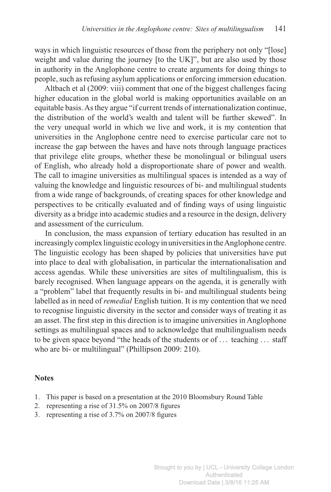ways in which linguistic resources of those from the periphery not only "[lose] weight and value during the journey [to the UK]", but are also used by those in authority in the Anglophone centre to create arguments for doing things to people, such as refusing asylum applications or enforcing immersion education.

Altbach et al (2009: viii) comment that one of the biggest challenges facing higher education in the global world is making opportunities available on an equitable basis. As they argue "if current trends of internationalization continue, the distribution of the world's wealth and talent will be further skewed". In the very unequal world in which we live and work, it is my contention that universities in the Anglophone centre need to exercise particular care not to increase the gap between the haves and have nots through language practices that privilege elite groups, whether these be monolingual or bilingual users of English, who already hold a disproportionate share of power and wealth. The call to imagine universities as multilingual spaces is intended as a way of valuing the knowledge and linguistic resources of bi- and multilingual students from a wide range of backgrounds, of creating spaces for other knowledge and perspectives to be critically evaluated and of finding ways of using linguistic diversity as a bridge into academic studies and a resource in the design, delivery and assessment of the curriculum.

In conclusion, the mass expansion of tertiary education has resulted in an increasingly complex linguistic ecology in universities in the Anglophone centre. The linguistic ecology has been shaped by policies that universities have put into place to deal with globalisation, in particular the internationalisation and access agendas. While these universities are sites of multilingualism, this is barely recognised. When language appears on the agenda, it is generally with a "problem" label that frequently results in bi- and multilingual students being labelled as in need of *remedial* English tuition. It is my contention that we need to recognise linguistic diversity in the sector and consider ways of treating it as an asset. The first step in this direction is to imagine universities in Anglophone settings as multilingual spaces and to acknowledge that multilingualism needs to be given space beyond "the heads of the students or of . . . teaching . . . staff who are bi- or multilingual" (Phillipson 2009: 210).

#### **Notes**

- 1. This paper is based on a presentation at the 2010 Bloomsbury Round Table
- 2. representing a rise of 31.5% on 2007/8 figures
- 3. representing a rise of 3.7% on 2007/8 figures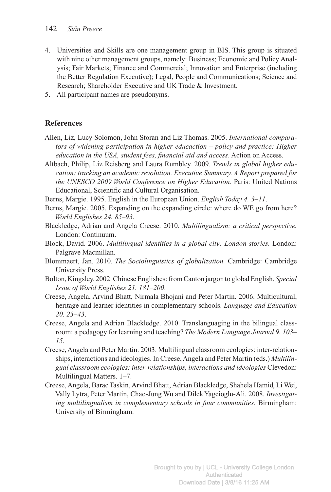- 4. Universities and Skills are one management group in BIS. This group is situated with nine other management groups, namely: Business; Economic and Policy Analysis; Fair Markets; Finance and Commercial; Innovation and Enterprise (including the Better Regulation Executive); Legal, People and Communications; Science and Research; Shareholder Executive and UK Trade & Investment.
- 5. All participant names are pseudonyms.

#### **References**

- Allen, Liz, Lucy Solomon, John Storan and Liz Thomas. 2005. *International comparators of widening participation in higher educaction – policy and practice: Higher education in the USA, student fees, financial aid and access*. Action on Access.
- Altbach, Philip, Liz Reisberg and Laura Rumbley. 2009. *Trends in global higher education: tracking an academic revolution. Executive Summary. A Report prepared for the UNESCO 2009 World Conference on Higher Education.* Paris: United Nations Educational, Scientific and Cultural Organisation.
- Berns, Margie. 1995. English in the European Union. *English Today 4. 3–11*.
- Berns, Margie. 2005. Expanding on the expanding circle: where do WE go from here? *World Englishes 24. 85–93*.
- Blackledge, Adrian and Angela Creese. 2010. *Multilingualism: a critical perspective.* London: Continuum.
- Block, David. 2006. *Multilingual identities in a global city: London stories.* London: Palgrave Macmillan.
- Blommaert, Jan. 2010. *The Sociolinguistics of globalization.* Cambridge: Cambridge University Press.
- Bolton, Kingsley. 2002. Chinese Englishes: from Canton jargon to global English. *Special Issue of World Englishes 21. 181–200*.
- Creese, Angela, Arvind Bhatt, Nirmala Bhojani and Peter Martin. 2006. Multicultural, heritage and learner identities in complementary schools. *Language and Education 20. 23–43*.
- Creese, Angela and Adrian Blackledge. 2010. Translanguaging in the bilingual classroom: a pedagogy for learning and teaching? *The Modern Language Journal 9. 103– 15*.
- Creese, Angela and Peter Martin. 2003. Multilingual classroom ecologies: inter-relationships, interactions and ideologies. In Creese, Angela and Peter Martin (eds.) *Multilingual classroom ecologies: inter-relationships, interactions and ideologies* Clevedon: Multilingual Matters. 1–7.
- Creese, Angela, Barac Taskin, Arvind Bhatt, Adrian Blackledge, Shahela Hamid, Li Wei, Vally Lytra, Peter Martin, Chao-Jung Wu and Dilek Yagcioglu-Ali. 2008. *Investigating multilingualism in complementary schools in four communities*. Birmingham: University of Birmingham.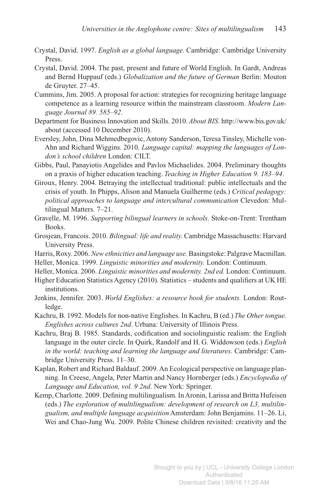- Crystal, David. 1997. *English as a global language.* Cambridge: Cambridge University Press.
- Crystal, David. 2004. The past, present and future of World English. In Gardt, Andreas and Bernd Huppauf (eds.) *Globalization and the future of German* Berlin: Mouton de Gruyter. 27–45.
- Cummins, Jim. 2005. A proposal for action: strategies for recognizing heritage language competence as a learning resource within the mainstream classroom. *Modern Language Journal 89. 585–92*.
- Department for Business Innovation and Skills. 2010.*About BIS*. http://www.bis.gov.uk/ about (accessed 10 December 2010).
- Eversley, John, Dina Mehmedbegovic, Antony Sanderson, Teresa Tinsley, Michelle von-Ahn and Richard Wiggins. 2010. *Language capital: mapping the languages of London's school children* London: CILT.
- Gibbs, Paul, Panayiotis Angelides and Pavlos Michaelides. 2004. Preliminary thoughts on a praxis of higher education teaching. *Teaching in Higher Education 9. 183–94*.
- Giroux, Henry. 2004. Betraying the intellectual traditional: public intellectuals and the crisis of youth. In Phipps, Alison and Manuela Guilherme (eds.) *Critical pedagogy: political approaches to language and intercultural communication* Clevedon: Multilingual Matters. 7–21.
- Gravelle, M. 1996. *Supporting bilingual learners in schools.* Stoke-on-Trent: Trentham Books.
- Grosjean, Francois. 2010. *Bilingual: life and reality.* Cambridge Massachusetts: Harvard University Press.
- Harris, Roxy. 2006. *New ethnicities and language use.* Basingstoke: Palgrave Macmillan. Heller, Monica. 1999. *Linguistic minorities and modernity.* London: Continuum.
- Heller, Monica. 2006. *Linguistic minorities and modernity. 2nd ed.* London: Continuum.
- Higher Education Statistics Agency (2010). Statistics students and qualifiers at UK HE institutions.
- Jenkins, Jennifer. 2003. *World Englishes: a resource book for students.* London: Routledge.
- Kachru, B. 1992. Models for non-native Englishes. In Kachru, B (ed.) *The Other tongue. Englishes across cultures 2nd*. Urbana: University of Illinois Press.
- Kachru, Braj B. 1985. Standards, codification and sociolinguistic realism: the English language in the outer circle. In Quirk, Randolf and H. G. Widdowson (eds.) *English in the world: teaching and learning the language and literatures.* Cambridge: Cambridge University Press. 11–30.
- Kaplan, Robert and Richard Baldauf. 2009. An Ecological perspective on language planning. In Creese, Angela, Peter Martin and Nancy Hornberger (eds.) *Encyclopedia of Language and Education, vol. 9 2nd*. New York: Springer.
- Kemp, Charlotte. 2009. Defining multilingualism. In Aronin, Larissa and Britta Hufeisen (eds.) *The exploration of multilingualism: development of research on L3, multilingualism, and multiple language acquisition* Amsterdam: John Benjamins. 11–26. Li, Wei and Chao-Jung Wu. 2009. Polite Chinese children revisited: creativity and the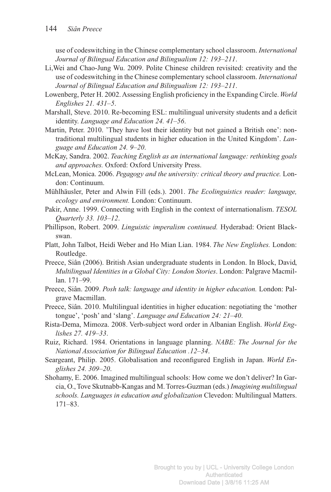use of codeswitching in the Chinese complementary school classroom. *International Journal of Bilingual Education and Bilingualism 12: 193–211*.

- Li,Wei and Chao-Jung Wu. 2009. Polite Chinese children revisited: creativity and the use of codeswitching in the Chinese complementary school classroom. *International Journal of Bilingual Education and Bilingualism 12: 193–211*.
- Lowenberg, Peter H. 2002. Assessing English proficiency in the Expanding Circle.*World Englishes 21. 431–5*.
- Marshall, Steve. 2010. Re-becoming ESL: multilingual university students and a deficit identity. *Language and Education 24. 41–56*.
- Martin, Peter. 2010. 'They have lost their identity but not gained a British one': nontraditional multilingual students in higher education in the United Kingdom'. *Language and Education 24. 9–20*.
- McKay, Sandra. 2002. *Teaching English as an international language: rethinking goals and approaches.* Oxford: Oxford University Press.
- McLean, Monica. 2006. *Pegagogy and the university: critical theory and practice.* London: Continuum.
- Mühlhäusler, Peter and Alwin Fill (eds.). 2001. *The Ecolinguistics reader: language, ecology and environment.* London: Continuum.
- Pakir, Anne. 1999. Connecting with English in the context of internationalism. *TESOL Quarterly 33. 103–12*.
- Phillipson, Robert. 2009. *Linguistic imperalism continued.* Hyderabad: Orient Blackswan.
- Platt, John Talbot, Heidi Weber and Ho Mian Lian. 1984. *The New Englishes.* London: Routledge.
- Preece, Siân (2006). British Asian undergraduate students in London. In Block, David, *Multilingual Identities in a Global City: London Stories*. London: Palgrave Macmillan. 171–99.
- Preece, Siân. 2009. *Posh talk: language and identity in higher education.* London: Palgrave Macmillan.
- Preece, Siân. 2010. Multilingual identities in higher education: negotiating the 'mother tongue', 'posh' and 'slang'. *Language and Education 24: 21–40*.
- Rista-Dema, Mimoza. 2008. Verb-subject word order in Albanian English. *World Englishes 27. 419–33*.
- Ruiz, Richard. 1984. Orientations in language planning. *NABE: The Journal for the National Association for Bilingual Education .12–34*.
- Seargeant, Philip. 2005. Globalisation and reconfigured English in Japan. *World Englishes 24. 309–20*.
- Shohamy, E. 2006. Imagined multilingual schools: How come we don't deliver? In Garcia, O., Tove Skutnabb-Kangas and M. Torres-Guzman (eds.) *Imagining multilingual schools. Languages in education and globalization* Clevedon: Multilingual Matters. 171–83.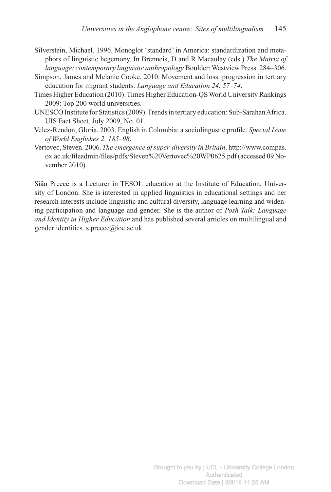- Silverstein, Michael. 1996. Monoglot 'standard' in America: standardization and metaphors of linguistic hegemony. In Brenneis, D and R Macaulay (eds.) *The Matrix of language: contemporary linguistic anthropology* Boulder: Westview Press. 284–306.
- Simpson, James and Melanie Cooke. 2010. Movement and loss: progression in tertiary education for migrant students. *Language and Education 24. 57–74*.
- Times Higher Education (2010).Times Higher Education-QSWorld University Rankings 2009: Top 200 world universities.
- UNESCO Institute for Statistics (2009).Trends in tertiary education: Sub-SarahanAfrica. UIS Fact Sheet, July 2009, No. 01.
- Velez-Rendon, Gloria. 2003. English in Colombia: a sociolingustic profile. *Special Issue of World Englishes 2. 185–98*.
- Vertovec, Steven. 2006.*The emergence of super-diversity in Britain*. http://www.compas. ox.ac.uk/fileadmin/files/pdfs/Steven%20Vertovec%20WP0625.pdf (accessed 09 November 2010).

Siân Preece is a Lecturer in TESOL education at the Institute of Education, University of London. She is interested in applied linguistics in educational settings and her research interests include linguistic and cultural diversity, language learning and widening participation and language and gender. She is the author of *Posh Talk: Language and Identity in Higher Education* and has published several articles on multilingual and gender identities. s.preece@ioe.ac.uk